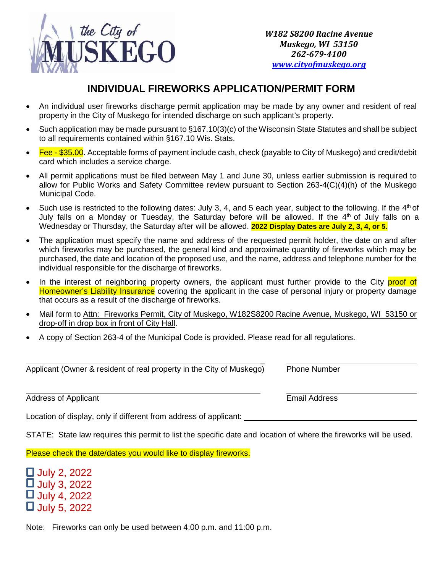

## **INDIVIDUAL FIREWORKS APPLICATION/PERMIT FORM**

- An individual user fireworks discharge permit application may be made by any owner and resident of real property in the City of Muskego for intended discharge on such applicant's property.
- Such application may be made pursuant to §167.10(3)(c) of the Wisconsin State Statutes and shall be subject to all requirements contained within §167.10 Wis. Stats.
- $\bullet$  Fee \$35.00. Acceptable forms of payment include cash, check (payable to City of Muskego) and credit/debit card which includes a service charge.
- All permit applications must be filed between May 1 and June 30, unless earlier submission is required to allow for Public Works and Safety Committee review pursuant to Section 263-4(C)(4)(h) of the Muskego Municipal Code.
- Such use is restricted to the following dates: July 3, 4, and 5 each year, subject to the following. If the  $4<sup>th</sup>$  of July falls on a Monday or Tuesday, the Saturday before will be allowed. If the  $4<sup>th</sup>$  of July falls on a Wednesday or Thursday, the Saturday after will be allowed. **2022 Display Dates are July 2, 3, 4, or 5.**
- The application must specify the name and address of the requested permit holder, the date on and after which fireworks may be purchased, the general kind and approximate quantity of fireworks which may be purchased, the date and location of the proposed use, and the name, address and telephone number for the individual responsible for the discharge of fireworks.
- In the interest of neighboring property owners, the applicant must further provide to the City proof of Homeowner's Liability Insurance covering the applicant in the case of personal injury or property damage that occurs as a result of the discharge of fireworks.
- Mail form to Attn: Fireworks Permit, City of Muskego, W182S8200 Racine Avenue, Muskego, WI 53150 or drop-off in drop box in front of City Hall.
- A copy of Section 263-4 of the Municipal Code is provided. Please read for all regulations.

 $\overline{a}$ Applicant (Owner & resident of real property in the City of Muskego) Phone Number

Address of Applicant **Email Address** 

Location of display, only if different from address of applicant:

STATE: State law requires this permit to list the specific date and location of where the fireworks will be used.

Please check the date/dates you would like to display fireworks.

 July 2, 2022 **July 3, 2022**  July 4, 2022 **July 5, 2022** 

Note: Fireworks can only be used between 4:00 p.m. and 11:00 p.m.